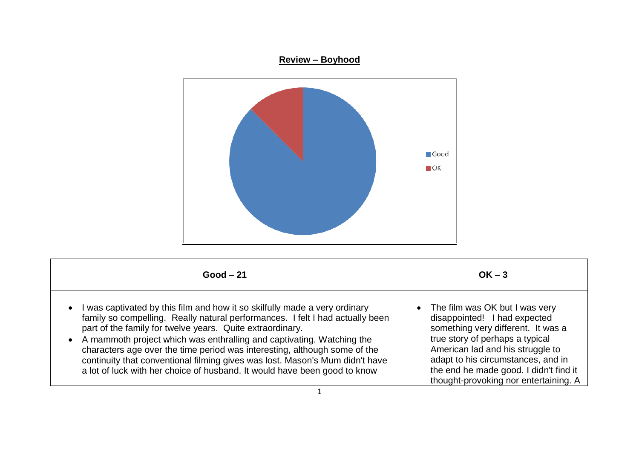## **Review – Boyhood**



| $Good - 21$                                                                   | $OK - 3$                               |
|-------------------------------------------------------------------------------|----------------------------------------|
| I was captivated by this film and how it so skilfully made a very ordinary    | • The film was OK but I was very       |
| $\bullet$                                                                     | disappointed! I had expected           |
| family so compelling. Really natural performances. I felt I had actually been | something very different. It was a     |
| part of the family for twelve years. Quite extraordinary.                     | true story of perhaps a typical        |
| • A mammoth project which was enthralling and captivating. Watching the       | American lad and his struggle to       |
| characters age over the time period was interesting, although some of the     | adapt to his circumstances, and in     |
| continuity that conventional filming gives was lost. Mason's Mum didn't have  | the end he made good. I didn't find it |
| a lot of luck with her choice of husband. It would have been good to know     | thought-provoking nor entertaining. A  |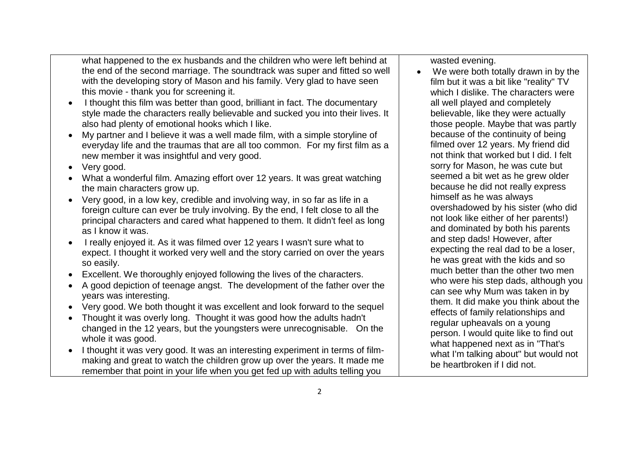what happened to the ex husbands and the children who were left behind at the end of the second marriage. The soundtrack was super and fitted so well with the developing story of Mason and his family. Very glad to have seen this movie - thank you for screening it.

- I thought this film was better than good, brilliant in fact. The documentary style made the characters really believable and sucked you into their lives. It also had plenty of emotional hooks which I like.
- My partner and I believe it was a well made film, with a simple storyline of everyday life and the traumas that are all too common. For my first film as a new member it was insightful and very good.
- Very good.
- What a wonderful film. Amazing effort over 12 years. It was great watching the main characters grow up.
- Very good, in a low key, credible and involving way, in so far as life in a foreign culture can ever be truly involving. By the end, I felt close to all the principal characters and cared what happened to them. It didn't feel as long as I know it was.
- I really enjoyed it. As it was filmed over 12 years I wasn't sure what to expect. I thought it worked very well and the story carried on over the years so easily.
- Excellent. We thoroughly enjoyed following the lives of the characters.
- A good depiction of teenage angst. The development of the father over the years was interesting.
- Very good. We both thought it was excellent and look forward to the sequel
- Thought it was overly long. Thought it was good how the adults hadn't changed in the 12 years, but the youngsters were unrecognisable. On the whole it was good.
- I thought it was very good. It was an interesting experiment in terms of filmmaking and great to watch the children grow up over the years. It made me remember that point in your life when you get fed up with adults telling you

wasted evening.

• We were both totally drawn in by the film but it was a bit like "reality" TV which I dislike. The characters were all well played and completely believable, like they were actually those people. Maybe that was partly because of the continuity of being filmed over 12 years. My friend did not think that worked but I did. I felt sorry for Mason, he was cute but seemed a bit wet as he grew older because he did not really express himself as he was always overshadowed by his sister (who did not look like either of her parents!) and dominated by both his parents and step dads! However, after expecting the real dad to be a loser, he was great with the kids and so much better than the other two men who were his step dads, although you can see why Mum was taken in by them. It did make you think about the effects of family relationships and regular upheavals on a young person. I would quite like to find out what happened next as in "That's what I'm talking about" but would not be heartbroken if I did not.